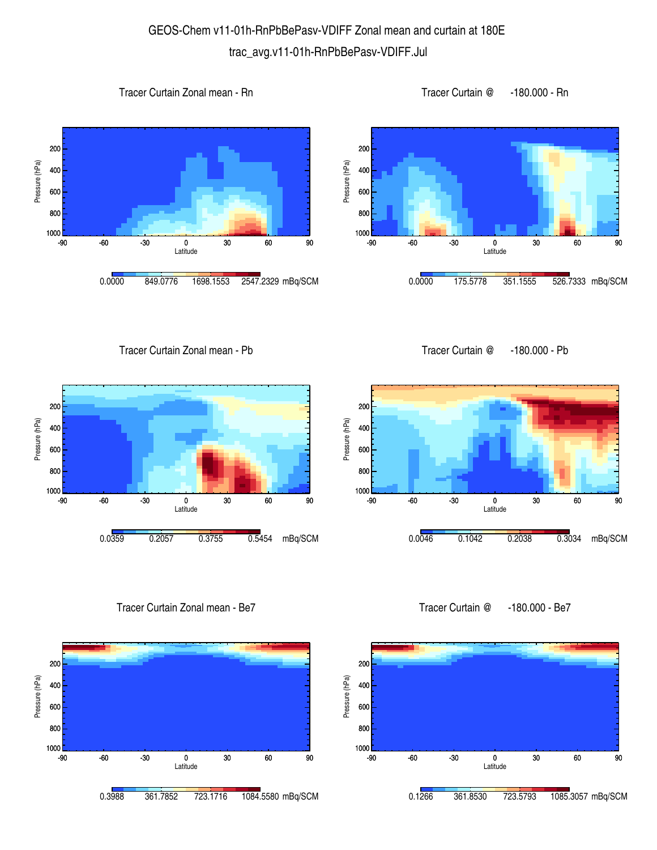## GEOS-Chem v11-01h-RnPbBePasv-VDIFF Zonal mean and curtain at 180E trac\_avg.v11-01h-RnPbBePasv-VDIFF.Jul









Tracer Curtain Zonal mean - Pb





Tracer Curtain Zonal mean - Be7





Tracer Curtain @ -180.000 - Be7